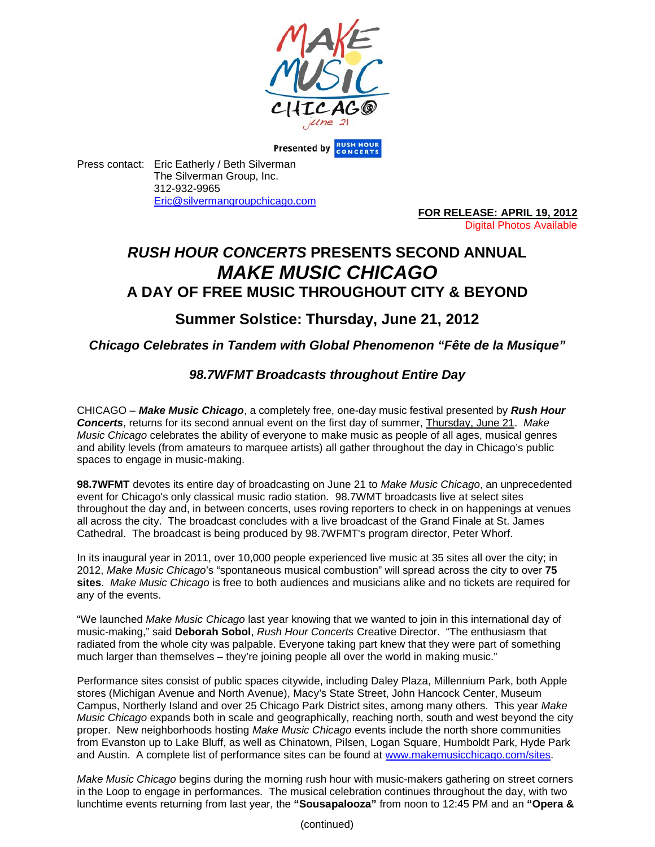

**Presented by RUSH HOUR** 

Press contact: Eric Eatherly / Beth Silverman The Silverman Group, Inc. 312-932-9965 Eric@silvermangroupchicago.com

**FOR RELEASE: APRIL 19, 2012** Digital Photos Available

# *RUSH HOUR CONCERTS* **PRESENTS SECOND ANNUAL** *MAKE MUSIC CHICAGO* **A DAY OF FREE MUSIC THROUGHOUT CITY & BEYOND**

## **Summer Solstice: Thursday, June 21, 2012**

### *Chicago Celebrates in Tandem with Global Phenomenon "Fête de la Musique"*

## *98.7WFMT Broadcasts throughout Entire Day*

CHICAGO – *Make Music Chicago*, a completely free, one-day music festival presented by *Rush Hour Concerts*, returns for its second annual event on the first day of summer, Thursday, June 21. *Make Music Chicago* celebrates the ability of everyone to make music as people of all ages, musical genres and ability levels (from amateurs to marquee artists) all gather throughout the day in Chicago's public spaces to engage in music-making.

**98.7WFMT** devotes its entire day of broadcasting on June 21 to *Make Music Chicago*, an unprecedented event for Chicago's only classical music radio station. 98.7WMT broadcasts live at select sites throughout the day and, in between concerts, uses roving reporters to check in on happenings at venues all across the city. The broadcast concludes with a live broadcast of the Grand Finale at St. James Cathedral. The broadcast is being produced by 98.7WFMT's program director, Peter Whorf.

In its inaugural year in 2011, over 10,000 people experienced live music at 35 sites all over the city; in 2012, *Make Music Chicago*'s "spontaneous musical combustion" will spread across the city to over **75 sites**. *Make Music Chicago* is free to both audiences and musicians alike and no tickets are required for any of the events.

"We launched *Make Music Chicago* last year knowing that we wanted to join in this international day of music-making," said **Deborah Sobol**, *Rush Hour Concerts* Creative Director. "The enthusiasm that radiated from the whole city was palpable. Everyone taking part knew that they were part of something much larger than themselves – they're joining people all over the world in making music."

Performance sites consist of public spaces citywide, including Daley Plaza, Millennium Park, both Apple stores (Michigan Avenue and North Avenue), Macy's State Street, John Hancock Center, Museum Campus, Northerly Island and over 25 Chicago Park District sites, among many others. This year *Make Music Chicago* expands both in scale and geographically, reaching north, south and west beyond the city proper. New neighborhoods hosting *Make Music Chicago* events include the north shore communities from Evanston up to Lake Bluff, as well as Chinatown, Pilsen, Logan Square, Humboldt Park, Hyde Park and Austin. A complete list of performance sites can be found at www.makemusicchicago.com/sites.

*Make Music Chicago* begins during the morning rush hour with music-makers gathering on street corners in the Loop to engage in performances*.* The musical celebration continues throughout the day, with two lunchtime events returning from last year, the **"Sousapalooza"** from noon to 12:45 PM and an **"Opera &**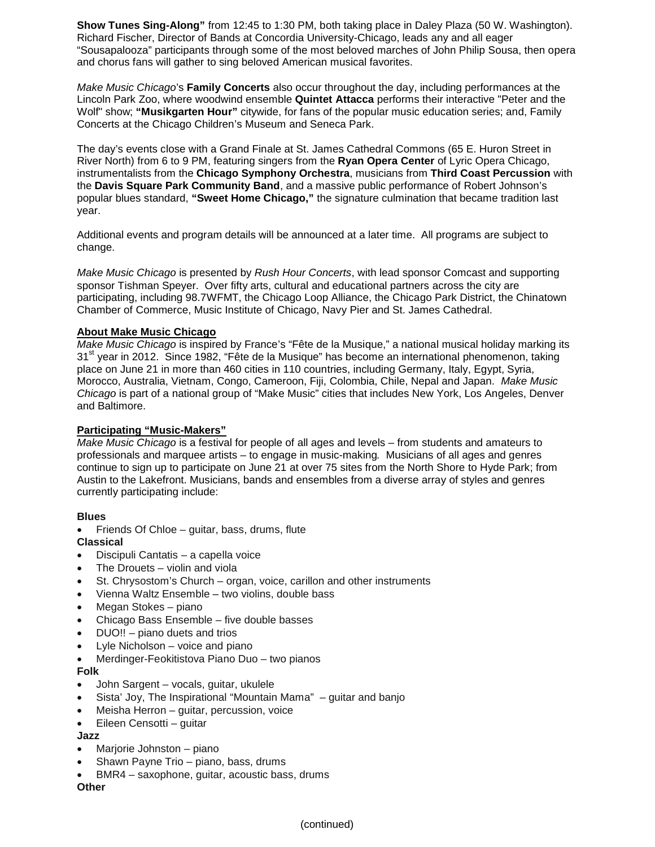**Show Tunes Sing-Along"** from 12:45 to 1:30 PM, both taking place in Daley Plaza (50 W. Washington). Richard Fischer, Director of Bands at Concordia University-Chicago, leads any and all eager "Sousapalooza" participants through some of the most beloved marches of John Philip Sousa, then opera and chorus fans will gather to sing beloved American musical favorites.

*Make Music Chicago*'s **Family Concerts** also occur throughout the day, including performances at the Lincoln Park Zoo, where woodwind ensemble **Quintet Attacca** performs their interactive "Peter and the Wolf" show; **"Musikgarten Hour"** citywide, for fans of the popular music education series; and, Family Concerts at the Chicago Children's Museum and Seneca Park.

The day's events close with a Grand Finale at St. James Cathedral Commons (65 E. Huron Street in River North) from 6 to 9 PM, featuring singers from the **Ryan Opera Center** of Lyric Opera Chicago, instrumentalists from the **Chicago Symphony Orchestra**, musicians from **Third Coast Percussion** with the **Davis Square Park Community Band**, and a massive public performance of Robert Johnson's popular blues standard, **"Sweet Home Chicago,"** the signature culmination that became tradition last year.

Additional events and program details will be announced at a later time. All programs are subject to change.

*Make Music Chicago* is presented by *Rush Hour Concerts*, with lead sponsor Comcast and supporting sponsor Tishman Speyer. Over fifty arts, cultural and educational partners across the city are participating, including 98.7WFMT, the Chicago Loop Alliance, the Chicago Park District, the Chinatown Chamber of Commerce, Music Institute of Chicago, Navy Pier and St. James Cathedral.

#### **About Make Music Chicago**

*Make Music Chicago* is inspired by France's "Fête de la Musique," a national musical holiday marking its 31<sup>st</sup> year in 2012. Since 1982, "Fête de la Musique" has become an international phenomenon, taking place on June 21 in more than 460 cities in 110 countries, including Germany, Italy, Egypt, Syria, Morocco, Australia, Vietnam, Congo, Cameroon, Fiji, Colombia, Chile, Nepal and Japan. *Make Music Chicago* is part of a national group of "Make Music" cities that includes New York, Los Angeles, Denver and Baltimore.

#### **Participating "Music-Makers"**

*Make Music Chicago* is a festival for people of all ages and levels – from students and amateurs to professionals and marquee artists – to engage in music-making*.* Musicians of all ages and genres continue to sign up to participate on June 21 at over 75 sites from the North Shore to Hyde Park; from Austin to the Lakefront. Musicians, bands and ensembles from a diverse array of styles and genres currently participating include:

#### **Blues**

Friends Of Chloe – guitar, bass, drums, flute

**Classical**

- Discipuli Cantatis a capella voice
- The Drouets violin and viola
- St. Chrysostom's Church organ, voice, carillon and other instruments
- Vienna Waltz Ensemble two violins, double bass
- Megan Stokes piano
- Chicago Bass Ensemble five double basses
- DUO!! piano duets and trios
- Lyle Nicholson voice and piano
- Merdinger-Feokitistova Piano Duo two pianos

#### **Folk**

- John Sargent vocals, guitar, ukulele
- Sista' Joy, The Inspirational "Mountain Mama" guitar and banjo
- Meisha Herron guitar, percussion, voice
- Eileen Censotti guitar

#### **Jazz**

- Marjorie Johnston piano
- Shawn Payne Trio piano, bass, drums
- BMR4 saxophone, guitar, acoustic bass, drums

**Other**